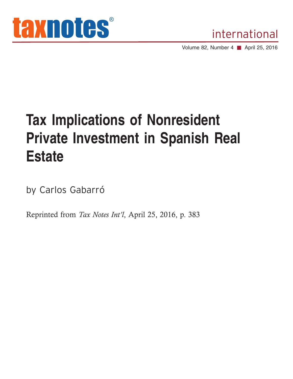



Volume 82, Number 4 ■ April 25, 2016

## **Tax Implications of Nonresident Private Investment in Spanish Real Estate**

by Carlos Gabarró

Reprinted from *Tax Notes Int'l*, April 25, 2016, p. 383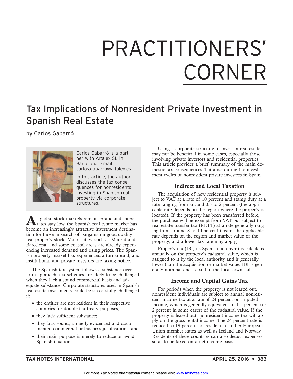# PRACTITIONERS' **CORNER**

### Tax Implications of Nonresident Private Investment in Spanish Real Estate

by Carlos Gabarró



Carlos Gabarró is a partner with Altalex SL in Barcelona. Email: carlos.gabarro@altalex.es

In this article, the author discusses the tax consequences for nonresidents investing in Spanish real property via corporate structures.

As global stock markets remain erratic and interest<br>trates stay low, the Spanish real estate market has become an increasingly attractive investment destination for those in search of bargains on good-quality real property stock. Major cities, such as Madrid and Barcelona, and some coastal areas are already experiencing increased demand and rising prices. The Spanish property market has experienced a turnaround, and institutional and private investors are taking notice.

The Spanish tax system follows a substance-overform approach; tax schemes are likely to be challenged when they lack a sound commercial basis and adequate substance. Corporate structures used in Spanish real estate investments could be successfully challenged if:

- the entities are not resident in their respective countries for double tax treaty purposes;
- they lack sufficient substance;
- they lack sound, properly evidenced and documented commercial or business justifications; and
- their main purpose is merely to reduce or avoid Spanish taxation.

Using a corporate structure to invest in real estate may not be beneficial in some cases, especially those involving private investors and residential properties. This article provides a brief summary of the main domestic tax consequences that arise during the investment cycles of nonresident private investors in Spain.

#### **Indirect and Local Taxation**

The acquisition of new residential property is subject to VAT at a rate of 10 percent and stamp duty at a rate ranging from around 0.5 to 2 percent (the applicable rate depends on the region where the property is located). If the property has been transferred before, the purchase will be exempt from VAT but subject to real estate transfer tax (RETT) at a rate generally ranging from around 8 to 10 percent (again, the applicable rate depends on the region and market value of the property, and a lower tax rate may apply).

Property tax (IBI, its Spanish acronym) is calculated annually on the property's cadastral value, which is assigned to it by the local authority and is generally lower than the acquisition or market value. IBI is generally nominal and is paid to the local town hall.

#### **Income and Capital Gains Tax**

For periods when the property is not leased out, nonresident individuals are subject to annual nonresident income tax at a rate of 24 percent on imputed income, which is generally equivalent to 1.1 percent (or 2 percent in some cases) of the cadastral value. If the property is leased out, nonresident income tax will apply on the gross rental income. The 24 percent rate is reduced to 19 percent for residents of other European Union member states as well as Iceland and Norway. Residents of these countries can also deduct expenses so as to be taxed on a net income basis.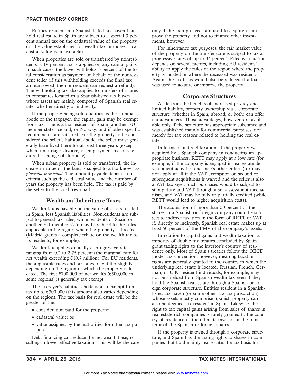Entities resident in a Spanish-listed tax haven that hold real estate in Spain are subject to a special 3 percent annual tax on the cadastral value of the property (or the value established for wealth tax purposes if cadastral value is unavailable).

When properties are sold or transferred by nonresidents, a 19 percent tax is applied on any capital gains. In such cases, the buyer withholds 3 percent of the total consideration as payment on behalf of the nonresident seller (if this withholding exceeds the final tax amount owed, the nonresident can request a refund). The withholding tax also applies to transfers of shares in companies located in a Spanish-listed tax haven whose assets are mainly composed of Spanish real estate, whether directly or indirectly.

If the property being sold qualifies as the habitual abode of the taxpayer, the capital gain may be exempt from tax if he is a tax resident of Spain, another EU member state, Iceland, or Norway, and if other specific requirements are satisfied. For the property to be considered the seller's habitual abode, the seller must generally have lived there for at least three years (except when a marriage, divorce, or employment reasons required a change of domicile).

When urban property is sold or transferred, the increase in value of the land is subject to a tax known as *plusvalía municipal*. The amount payable depends on criteria such as the cadastral value and the number of years the property has been held. The tax is paid by the seller to the local town hall.

#### **Wealth and Inheritance Taxes**

Wealth tax is payable on the value of assets located in Spain, less Spanish liabilities. Nonresidents are subject to general tax rules, while residents of Spain or another EU member state may be subject to the rules applicable in the region where the property is located (Madrid grants a complete rebate on the wealth tax to its residents, for example).

Wealth tax applies annually at progressive rates ranging from 0.2 to 2.75 percent (the marginal rate for net wealth exceeding €10.7 million). For EU residents, the applicable rules and tax rates may differ slightly depending on the region in which the property is located. The first  $\text{\textsterling}700,000$  of net wealth ( $\text{\textsterling}500,000$  in some regions) is generally tax exempt.

The taxpayer's habitual abode is also exempt from tax up to  $\epsilon$ 300,000 (this amount also varies depending on the region). The tax basis for real estate will be the greater of the:

- consideration paid for the property;
- cadastral value; or
- value assigned by the authorities for other tax purposes.

Debt financing can reduce the net wealth base, resulting in lower effective taxation. This will be the case only if the loan proceeds are used to acquire or improve the property and not to finance other investments, however.

For inheritance tax purposes, the fair market value of the property on the transfer date is subject to tax at progressive rates of up to 34 percent. Effective taxation depends on several factors, including EU residents' ability to apply the rules of the region where the property is located or where the deceased was resident. Again, the tax basis would also be reduced if a loan was used to acquire or improve the property.

#### **Corporate Structures**

Aside from the benefits of increased privacy and limited liability, property ownership via a corporate structure (whether in Spain, abroad, or both) can offer tax advantages. Those advantages, however, are available only if the structure has appropriate substance and was established mainly for commercial purposes, not merely for tax reasons related to holding the real estate.

In terms of indirect taxation, if the property was acquired by a Spanish company in conducting an appropriate business, RETT may apply at a low rate (for example, if the company is engaged in real estate development activities and meets other criteria) or may not apply at all if the VAT exemption on second or subsequent acquisitions is waived and the seller is also a VAT taxpayer. Such purchases would be subject to stamp duty and VAT through a self-assessment mechanism, and VAT may be fully or partially credited (while RETT would lead to higher acquisition costs).

The acquisition of more than 50 percent of the shares in a Spanish or foreign company could be subject to indirect taxation in the form of RETT or VAT if, directly or indirectly, Spanish real estate makes up at least 50 percent of the FMV of the company's assets.

In relation to capital gains and wealth taxation, a minority of double tax treaties concluded by Spain grant taxing rights to the investor's country of residence only. Most of Spain's treaties follow the OECD model tax convention, however, meaning taxation rights are generally granted to the country in which the underlying real estate is located. Russian, French, German, or U.K. resident individuals, for example, may not be shielded from Spanish wealth tax even if they hold the Spanish real estate through a Spanish or foreign corporate structure. Entities resident in a Spanishlisted tax haven (or some other low-tax jurisdiction) whose assets mostly comprise Spanish property can also be deemed tax resident in Spain. Likewise, the right to tax capital gains arising from sales of shares in real-estate-rich companies is rarely granted to the country of residence of the ultimate investor or the transferor of the Spanish or foreign shares.

If the property is owned through a corporate structure, and Spain has the taxing rights to shares in companies that hold mainly real estate, the tax basis for